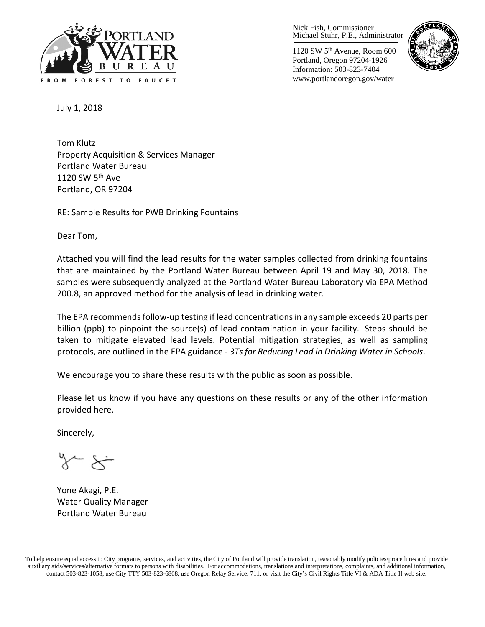

Nick Fish, Commissioner Michael Stuhr, P.E., Administrator

1120 SW 5th Avenue, Room 600 Portland, Oregon 97204-1926 Information: 503-823-7404 www.portlandoregon.gov/water



July 1, 2018

Tom Klutz Property Acquisition & Services Manager Portland Water Bureau 1120 SW  $5<sup>th</sup>$  Ave Portland, OR 97204

RE: Sample Results for PWB Drinking Fountains

Dear Tom,

Attached you will find the lead results for the water samples collected from drinking fountains that are maintained by the Portland Water Bureau between April 19 and May 30, 2018. The samples were subsequently analyzed at the Portland Water Bureau Laboratory via EPA Method 200.8, an approved method for the analysis of lead in drinking water.

The EPA recommends follow-up testing if lead concentrations in any sample exceeds 20 parts per billion (ppb) to pinpoint the source(s) of lead contamination in your facility. Steps should be taken to mitigate elevated lead levels. Potential mitigation strategies, as well as sampling protocols, are outlined in the EPA guidance - *3Ts for Reducing Lead in Drinking Water in Schools*.

We encourage you to share these results with the public as soon as possible.

Please let us know if you have any questions on these results or any of the other information provided here.

Sincerely,

 $\sim$   $\times$   $\sim$ 

Yone Akagi, P.E. Water Quality Manager Portland Water Bureau

To help ensure equal access to City programs, services, and activities, the City of Portland will provide translation, reasonably modify policies/procedures and provide auxiliary aids/services/alternative formats to persons with disabilities. For accommodations, translations and interpretations, complaints, and additional information, contact 503-823-1058, use City TTY 503-823-6868, use Oregon Relay Service: 711, or visi[t the City's Civil Rights Title VI & ADA Title II web site.](http://www.portlandoregon.gov/oehr/66458)